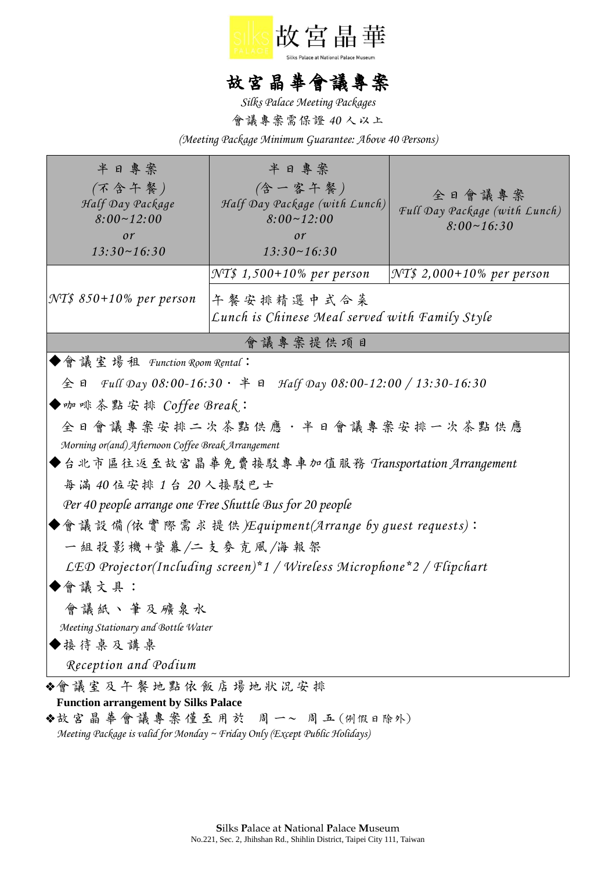

## 故宮晶華會議專案

*Silks Palace Meeting Packages*

會議專案需保證 *40* 人以上

*(Meeting Package Minimum Guarantee: Above 40 Persons)*

| 半日專案<br>(不含午餐)<br>Half Day Package<br>$8:00 - 12:00$<br>or<br>$13:30 \sim 16:30$        | 半日專案<br>(含一客午餐)<br>Half Day Package (with Lunch)<br>$8:00 - 12:00$<br>$\mathfrak{O}r$<br>$13:30 \sim 16:30$ | 全日會議專案<br>Full Day Package (with Lunch)<br>$8:00 \sim 16:30$ |
|-----------------------------------------------------------------------------------------|-------------------------------------------------------------------------------------------------------------|--------------------------------------------------------------|
| NT\$ 850+10% per person                                                                 | NT\$ 1,500+10% per person<br>午餐安排精選中式合菜<br>Lunch is Chinese Meal served with Family Style                   | $\vert \mathcal{N} T\$ 2,000+10% per person                  |
| 會議專案提供項目                                                                                |                                                                                                             |                                                              |
| ◆會議室場租 Function Room Rental:                                                            |                                                                                                             |                                                              |
| $\textcircled{f}$ a Full Day 08:00-16:30 $\cdot$ # a Half Day 08:00-12:00 / 13:30-16:30 |                                                                                                             |                                                              |
| ◆咖啡茶點安排 Coffee Break:                                                                   |                                                                                                             |                                                              |
| 全日會議專案安排二次茶點供應·半日會議專案安排一次茶點供應                                                           |                                                                                                             |                                                              |
| Morning or(and) Afternoon Coffee Break Arrangement                                      |                                                                                                             |                                                              |
| ◆台北市區往返至故宮晶華免費接駁專車加值服務 Transportation Arrangement                                       |                                                                                                             |                                                              |
| 每滿40位安排1台20人接駁巴士                                                                        |                                                                                                             |                                                              |
| Per 40 people arrange one Free Shuttle Bus for 20 people                                |                                                                                                             |                                                              |
| ◆會議設備(依實際需求提供 <i>)Equipment(Arrange by guest requests</i> ):                            |                                                                                                             |                                                              |
| 一組投影機+螢幕/二支麥克風/海報架                                                                      |                                                                                                             |                                                              |
| LED Projector(Including screen)*1 / Wireless Microphone*2 / Flipchart                   |                                                                                                             |                                                              |
| ◆會議文具:                                                                                  |                                                                                                             |                                                              |
| 會議紙丶筆及礦泉水                                                                               |                                                                                                             |                                                              |
| Meeting Stationary and Bottle Water                                                     |                                                                                                             |                                                              |
| ◆接待桌及講桌                                                                                 |                                                                                                             |                                                              |
| Reception and Podium                                                                    |                                                                                                             |                                                              |
| ◆會議室及午餐地點依飯店場地狀況安排                                                                      |                                                                                                             |                                                              |
| <b>Function arrangement by Silks Palace</b><br>◆故宮晶華會議專案僅至用於 周一~ 周五(例假日除外)              |                                                                                                             |                                                              |

 *Meeting Package is valid for Monday ~ Friday Only (Except Public Holidays)*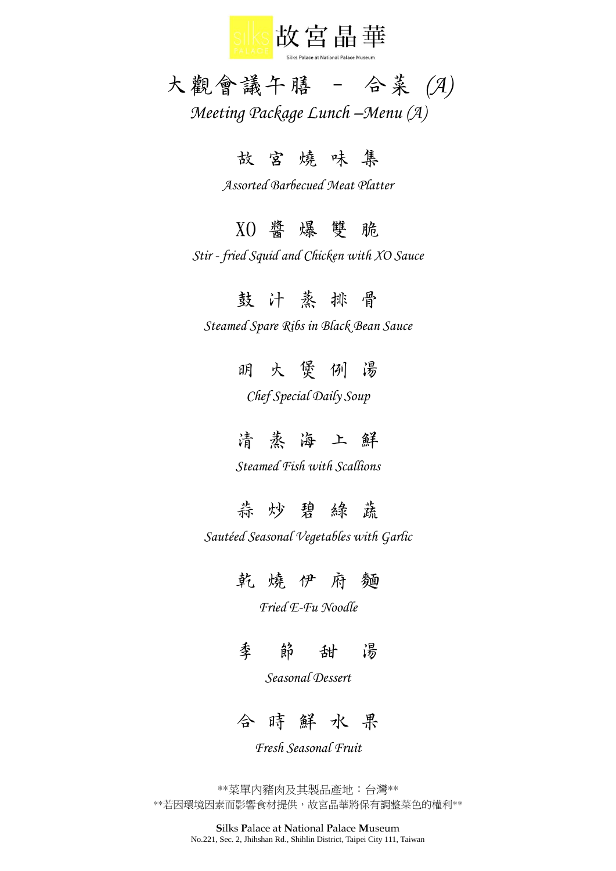

# 大觀會議午膳 – 合菜 *(A)*

*Meeting Package Lunch –Menu (A)*

### 故 宮 燒 味 集

*Assorted Barbecued Meat Platter*

#### XO 醬 爆 雙 脆

*Stir - fried Squid and Chicken with XO Sauce*

#### 鼓汁蒸排 骨

*Steamed Spare Ribs in Black Bean Sauce*

### 明 火 煲 例 湯

*Chef Special Daily Soup*

### 清蒸海上 鮮

*Steamed Fish with Scallions*

### 蒜炒碧綠蓋

*Sautéed Seasonal Vegetables with Garlic*

#### 乾 燒 伊 府 麵

*Fried E-Fu Noodle*

季 節 甜 湯

*Seasonal Dessert*

合 時 鮮 水 果

*Fresh Seasonal Fruit*

\*\*菜單內豬肉及其製品產地:台灣\*\* \*\*若因環境因素而影響食材提供,故宮晶華將保有調整菜色的權利\*\*

> **S**ilks **P**alace at **N**ational **P**alace **M**useum No.221, Sec. 2, Jhihshan Rd., Shihlin District, Taipei City 111, Taiwan